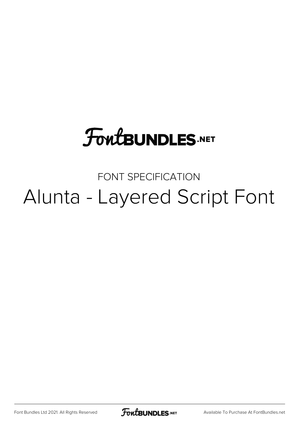# **FoutBUNDLES.NET**

#### FONT SPECIFICATION Alunta - Layered Script Font

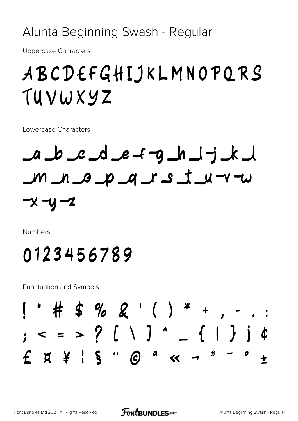#### Alunta Beginning Swash - Regular

**Uppercase Characters** 

#### ABCDEFGHIJKLMNOPQRS TUVWXYZ

Lowercase Characters

Labedetghijkl  $w-v-w$  t  $2v-w$  a  $w-w$  $-x-y-z$ 

**Numbers** 

#### 0123456789

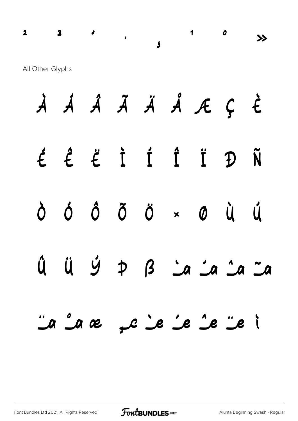#### $\overline{\mathbf{2}}$  $\mathbf 3$

 $\lambda$ 

 $\bullet$ 

 $\overline{\mathbf{A}}$ 

All Other Glyphs

|  | À Á Â Ã Ä Ä Å Æ Ç È                                                                             |  |  |  |
|--|-------------------------------------------------------------------------------------------------|--|--|--|
|  | É Ê Ë Ì Í Î Ï Đ Ñ                                                                               |  |  |  |
|  | Ò Ó Ô Õ Ö × Ø Ù Ú                                                                               |  |  |  |
|  | $\hat{u} \quad \hat{u} \quad \hat{y} \quad p \quad \beta \quad \hat{a} \quad a \quad a \quad a$ |  |  |  |
|  | $\therefore a \circ a \circ a \circ b \circ b \circ b \circ b$                                  |  |  |  |

FortBUNDLES.NET

 $\boldsymbol{o}$ 

 $\lambda$ 

1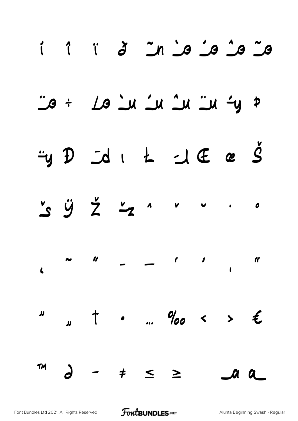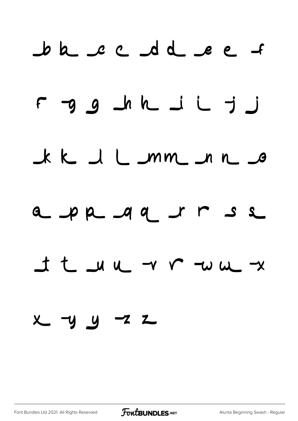

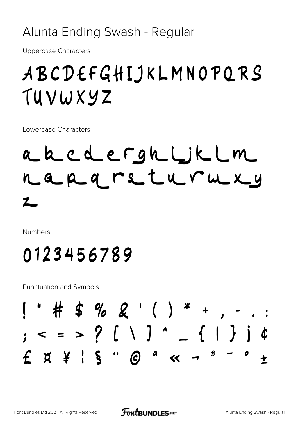#### Alunta Ending Swash - Regular

**Uppercase Characters** 

#### ABCDEFGHIJKLMNOPQRS TUVWXYZ

Lowercase Characters

#### akcderghijklm naparaturuxy  $\mathbf{Z}$

**Numbers** 

#### 0123456789

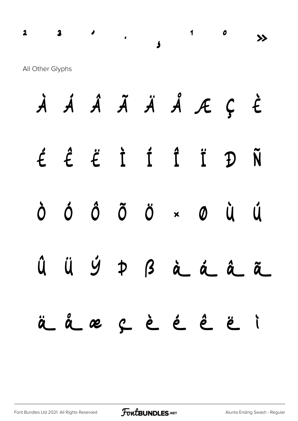#### ² ³ ´ · ¸ ¹ º »

All Other Glyphs

|  | À Á Â Ã Ä Ä Å Æ Ç |  |  |  |
|--|-------------------|--|--|--|
|  | ÉÊËIÍÎÎĐÑ         |  |  |  |
|  | Ò Ó Ô Õ Ö × Ø Ù Ú |  |  |  |
|  | Û Ü Ý P B à á â ã |  |  |  |
|  | äåæçèéêi          |  |  |  |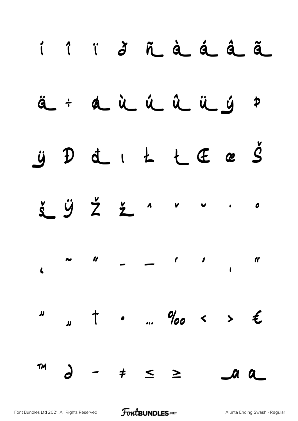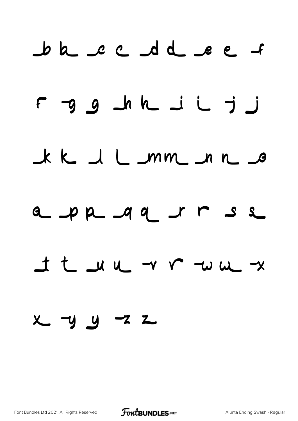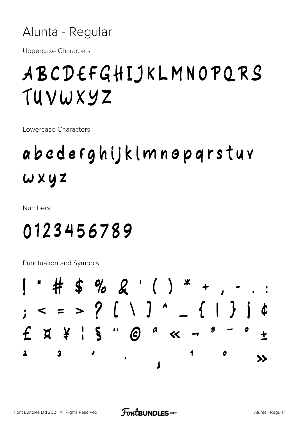

**Uppercase Characters** 

#### ABCDEFGHIJKLMNOPQRS TUVWXYZ

Lowercase Characters

## abcdefghijklmnopqrstuv wxyz

**Numbers** 

#### 0123456789

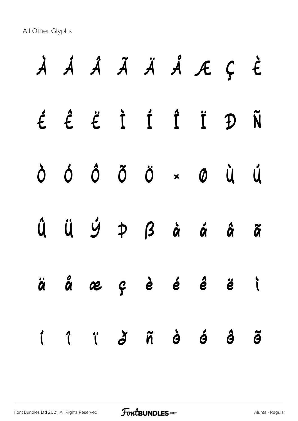All Other Glyphs

|  |  |  | À Á Â Ã Ä Å Æ Ç È |  |
|--|--|--|-------------------|--|
|  |  |  | É Ê Ë Ï Ï Ï Ï Đ Ñ |  |
|  |  |  | Ò Ó Ô Õ Ö × Ø Ù Ú |  |
|  |  |  | Û Ü Ý Þ ß à á â ã |  |
|  |  |  | äåæçèé é ë i      |  |
|  |  |  | 1 1 1 3 5 6 6 6   |  |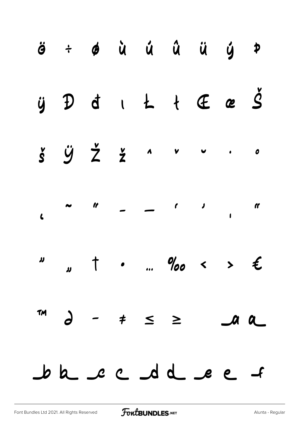| ö + ø ù ú û ü ý Þ                                                                                                                                                                                                                      |  |  |  |  |
|----------------------------------------------------------------------------------------------------------------------------------------------------------------------------------------------------------------------------------------|--|--|--|--|
| ÿ D d l L l E æ Š                                                                                                                                                                                                                      |  |  |  |  |
| $\begin{array}{ccccccccccccccccc} \circ & \circ & \circ & \circ & \circ & \circ & \circ & \circ & \circ \end{array} \qquad \begin{array}{ccccccccccccccccc} \circ & \circ & \circ & \circ & \circ & \circ & \circ & \circ \end{array}$ |  |  |  |  |
|                                                                                                                                                                                                                                        |  |  |  |  |
| $\frac{1}{2}$ , $\frac{1}{2}$ , $\frac{1}{2}$ , $\frac{1}{2}$ , $\frac{1}{2}$ , $\frac{1}{2}$ , $\frac{1}{2}$ , $\frac{1}{2}$ , $\frac{1}{2}$                                                                                          |  |  |  |  |
| $m$ d - $\neq$ $\leq$ $\geq$ 0 a                                                                                                                                                                                                       |  |  |  |  |
| bh c c d d e e f                                                                                                                                                                                                                       |  |  |  |  |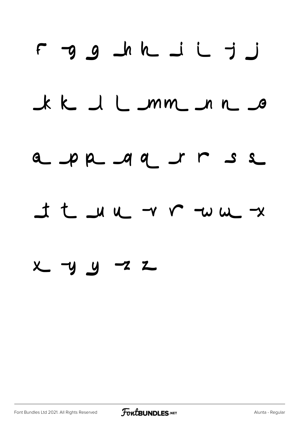

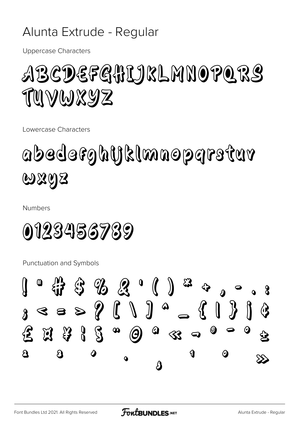#### Alunta Extrude - Regular

**Uppercase Characters** 

## ABCDEFGHLJKLMNOPQRS TUVWXYZ

Lowercase Characters

# abedefghijklmnopgrefuv  $\mathfrak{W} \mathfrak{Y} \mathfrak{Y} \mathfrak{Z}$

**Numbers** 

0123456739

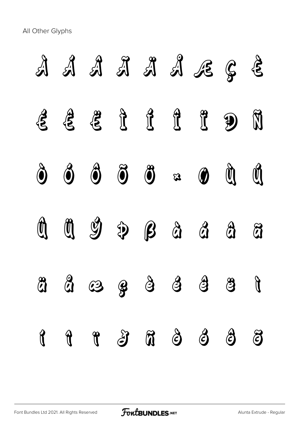All Other Glyphs

|        |            |         |  | A A A A A A A E G E                                                                                                                |                |                |
|--------|------------|---------|--|------------------------------------------------------------------------------------------------------------------------------------|----------------|----------------|
|        |            | 2633322 |  |                                                                                                                                    | $\mathbf{D}$ N |                |
|        |            |         |  | $\phi$ $\phi$ $\phi$ $\ddot{\phi}$ $\ddot{\phi}$ $\ddot{\phi}$ $\ddot{\phi}$ $\ddot{\phi}$                                         |                |                |
|        |            |         |  |                                                                                                                                    |                |                |
|        |            |         |  | 4 4 6 9 4 4 9 8 1                                                                                                                  |                |                |
| $\int$ | $\partial$ |         |  | $\begin{array}{ccccccccccccc} \mathfrak{F} & \mathfrak{F} & \mathfrak{F} & \mathfrak{F} & \mathfrak{F} & \mathfrak{F} \end{array}$ | $\bigodot$     | $\mathfrak{F}$ |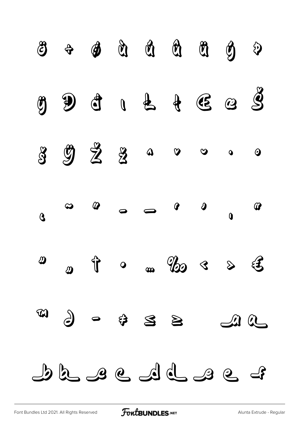